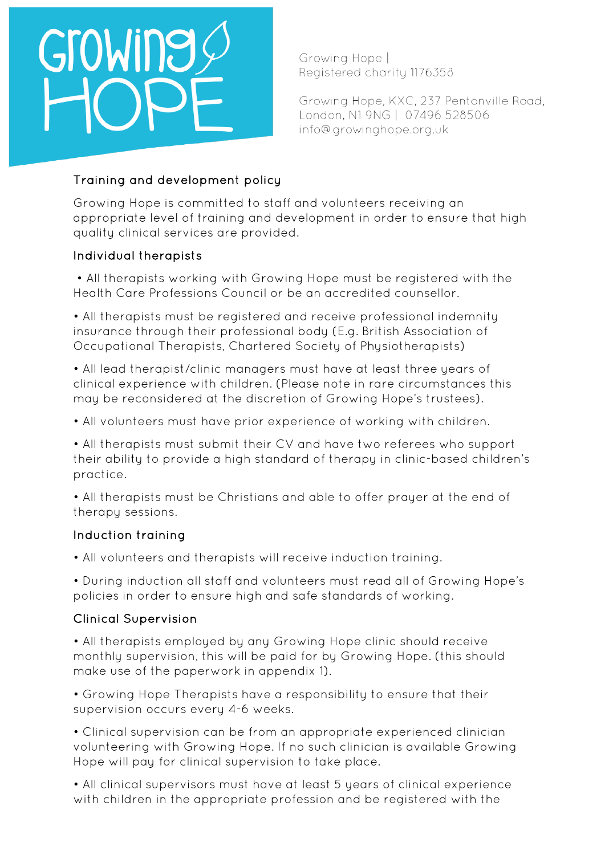Growing Hope | Registered charity 1176358

Growing Hope, KXC, 237 Pentonville Road, London, N1 9NG | 07496 528506 info@growinghope.org.uk

## Training and development policy

Growing Hope is committed to staff and volunteers receiving an appropriate level of training and development in order to ensure that high quality clinical services are provided.

## Individual therapists

• All therapists working with Growing Hope must be registered with the Health Care Professions Council or be an accredited counsellor.

• All therapists must be registered and receive professional indemnity insurance through their professional body (E.g. British Association of Occupational Therapists, Chartered Society of Physiotherapists)

• All lead therapist/clinic managers must have at least three years of clinical experience with children. (Please note in rare circumstances this may be reconsidered at the discretion of Growing Hope's trustees).

• All volunteers must have prior experience of working with children.

• All therapists must submit their CV and have two referees who support their ability to provide a high standard of therapy in clinic-based children's practice.

• All therapists must be Christians and able to offer prayer at the end of therapy sessions.

## Induction training

• All volunteers and therapists will receive induction training.

• During induction all staff and volunteers must read all of Growing Hope's policies in order to ensure high and safe standards of working.

## Clinical Supervision

• All therapists employed by any Growing Hope clinic should receive monthly supervision, this will be paid for by Growing Hope. (this should make use of the paperwork in appendix 1).

• Growing Hope Therapists have a responsibility to ensure that their supervision occurs every 4-6 weeks.

• Clinical supervision can be from an appropriate experienced clinician volunteering with Growing Hope. If no such clinician is available Growing Hope will pay for clinical supervision to take place.

• All clinical supervisors must have at least 5 years of clinical experience with children in the appropriate profession and be registered with the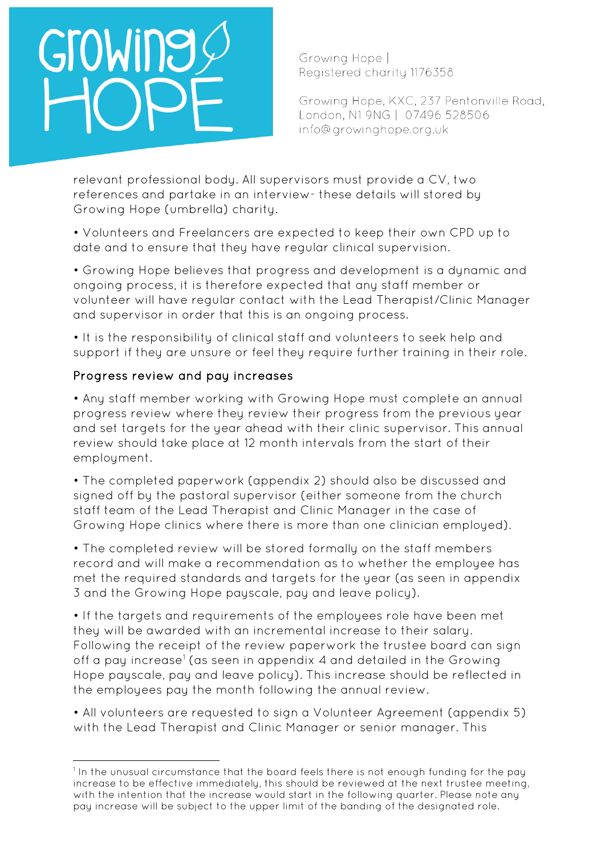Growing Hope | Registered charity 1176358

Growing Hope, KXC, 237 Pentonville Road, London, N1 9NG | 07496 528506 info@growinghope.org.uk

relevant professional body. All supervisors must provide a CV, two references and partake in an interview- these details will stored by Growing Hope (umbrella) charity.

• Volunteers and Freelancers are expected to keep their own CPD up to date and to ensure that they have regular clinical supervision.

• Growing Hope believes that progress and development is a dynamic and ongoing process, it is therefore expected that any staff member or volunteer will have regular contact with the Lead Therapist/Clinic Manager and supervisor in order that this is an ongoing process.

• It is the responsibility of clinical staff and volunteers to seek help and support if they are unsure or feel they require further training in their role.

## Progress review and pay increases

• Any staff member working with Growing Hope must complete an annual progress review where they review their progress from the previous year and set targets for the year ahead with their clinic supervisor. This annual review should take place at 12 month intervals from the start of their employment.

• The completed paperwork (appendix 2) should also be discussed and signed off by the pastoral supervisor (either someone from the church staff team of the Lead Therapist and Clinic Manager in the case of Growing Hope clinics where there is more than one clinician employed).

• The completed review will be stored formally on the staff members record and will make a recommendation as to whether the employee has met the required standards and targets for the year (as seen in appendix 3 and the Growing Hope payscale, pay and leave policy).

• If the targets and requirements of the employees role have been met they will be awarded with an incremental increase to their salary. Following the receipt of the review paperwork the trustee board can sign off a pay increase<sup>[1](#page-1-0)</sup> (as seen in appendix 4 and detailed in the Growing Hope payscale, pay and leave policy). This increase should be reflected in the employees pay the month following the annual review.

• All volunteers are requested to sign a Volunteer Agreement (appendix 5) with the Lead Therapist and Clinic Manager or senior manager. This

<span id="page-1-0"></span><sup>&</sup>lt;sup>1</sup> In the unusual circumstance that the board feels there is not enough funding for the pay increase to be effective immediately, this should be reviewed at the next trustee meeting, with the intention that the increase would start in the following quarter. Please note any pay increase will be subject to the upper limit of the banding of the designated role.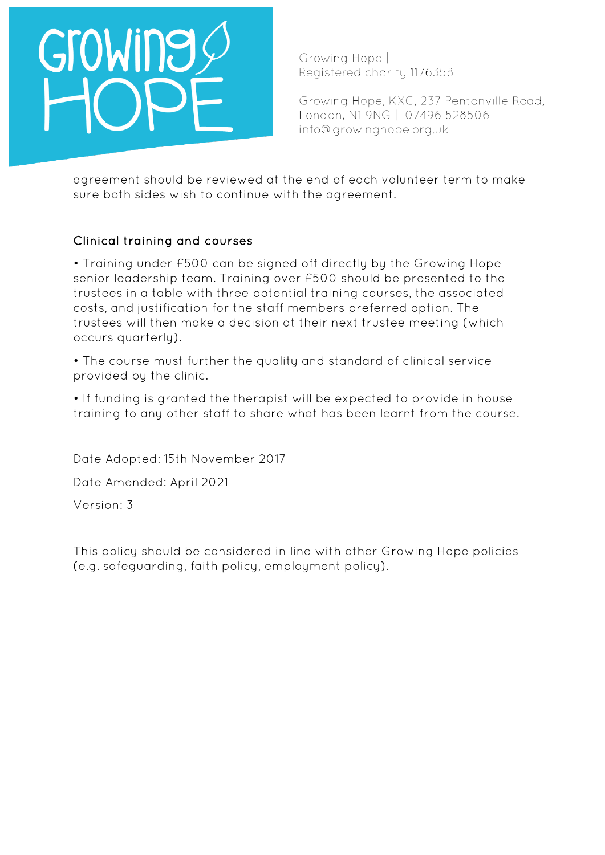

Growing Hope, KXC, 237 Pentonville Road, London, N1 9NG | 07496 528506 info@growinghope.org.uk

agreement should be reviewed at the end of each volunteer term to make sure both sides wish to continue with the agreement.

## Clinical training and courses

• Training under £500 can be signed off directly by the Growing Hope senior leadership team. Training over £500 should be presented to the trustees in a table with three potential training courses, the associated costs, and justification for the staff members preferred option. The trustees will then make a decision at their next trustee meeting (which occurs quarterly).

• The course must further the quality and standard of clinical service provided by the clinic.

• If funding is granted the therapist will be expected to provide in house training to any other staff to share what has been learnt from the course.

Date Adopted: 15th November 2017

Date Amended: April 2021

Version: 3

This policy should be considered in line with other Growing Hope policies (e.g. safeguarding, faith policy, employment policy).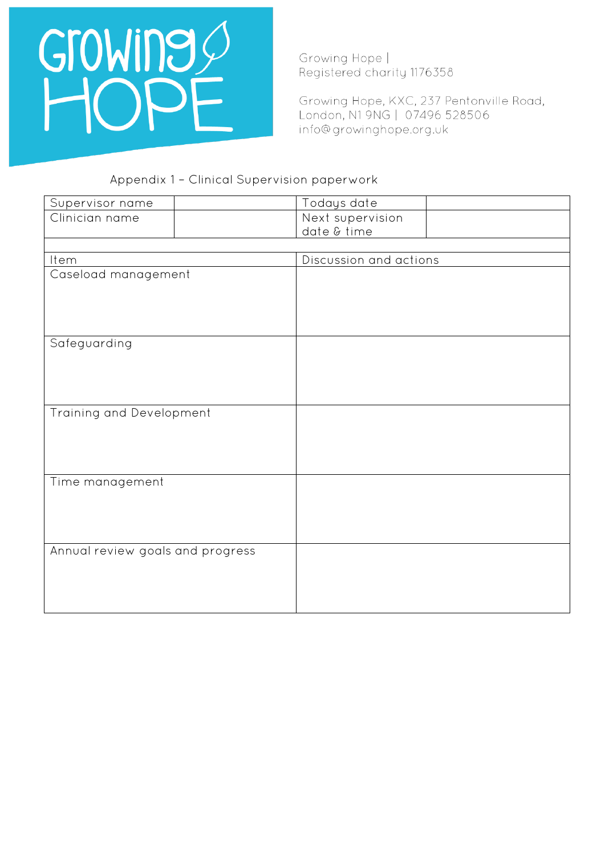

Growing Hope, KXC, 237 Pentonville Road, London, N1 9NG | 07496 528506 info@growinghope.org.uk

## Appendix 1 – Clinical Supervision paperwork

| Supervisor name                  | Todays date            |  |
|----------------------------------|------------------------|--|
| Clinician name                   | Next supervision       |  |
|                                  | date & time            |  |
|                                  |                        |  |
| Item                             | Discussion and actions |  |
| Caseload management              |                        |  |
|                                  |                        |  |
|                                  |                        |  |
|                                  |                        |  |
|                                  |                        |  |
| Safeguarding                     |                        |  |
|                                  |                        |  |
|                                  |                        |  |
|                                  |                        |  |
| Training and Development         |                        |  |
|                                  |                        |  |
|                                  |                        |  |
|                                  |                        |  |
|                                  |                        |  |
| Time management                  |                        |  |
|                                  |                        |  |
|                                  |                        |  |
|                                  |                        |  |
|                                  |                        |  |
| Annual review goals and progress |                        |  |
|                                  |                        |  |
|                                  |                        |  |
|                                  |                        |  |
|                                  |                        |  |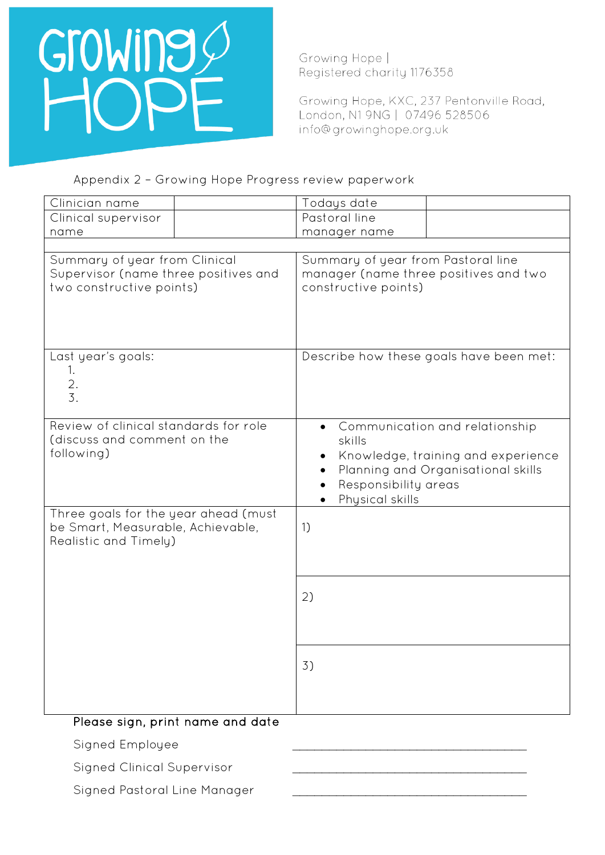

Growing Hope, KXC, 237 Pentonville Road, London, N1 9NG | 07496 528506 info@growinghope.org.uk

## Appendix 2 – Growing Hope Progress review paperwork

| Clinician name                                                                                     | Todays date                                                                                                                                                     |  |
|----------------------------------------------------------------------------------------------------|-----------------------------------------------------------------------------------------------------------------------------------------------------------------|--|
| Clinical supervisor                                                                                | Pastoral line                                                                                                                                                   |  |
| name                                                                                               | manager name                                                                                                                                                    |  |
|                                                                                                    |                                                                                                                                                                 |  |
| Summary of year from Clinical<br>Supervisor (name three positives and<br>two constructive points)  | Summary of year from Pastoral line<br>manager (name three positives and two<br>constructive points)                                                             |  |
| Last year's goals:<br>1.<br>$rac{2}{3}$ .                                                          | Describe how these goals have been met:                                                                                                                         |  |
| Review of clinical standards for role<br>(discuss and comment on the<br>following)                 | Communication and relationship<br>skills<br>Knowledge, training and experience<br>Planning and Organisational skills<br>Responsibility areas<br>Physical skills |  |
| Three goals for the year ahead (must<br>be Smart, Measurable, Achievable,<br>Realistic and Timely) | 1)                                                                                                                                                              |  |
|                                                                                                    | 2)                                                                                                                                                              |  |
|                                                                                                    | 3)                                                                                                                                                              |  |
| Please sign, print name and date                                                                   |                                                                                                                                                                 |  |
| Signed Employee                                                                                    |                                                                                                                                                                 |  |
|                                                                                                    |                                                                                                                                                                 |  |

Signed Clinical Supervisor

Signed Pastoral Line Manager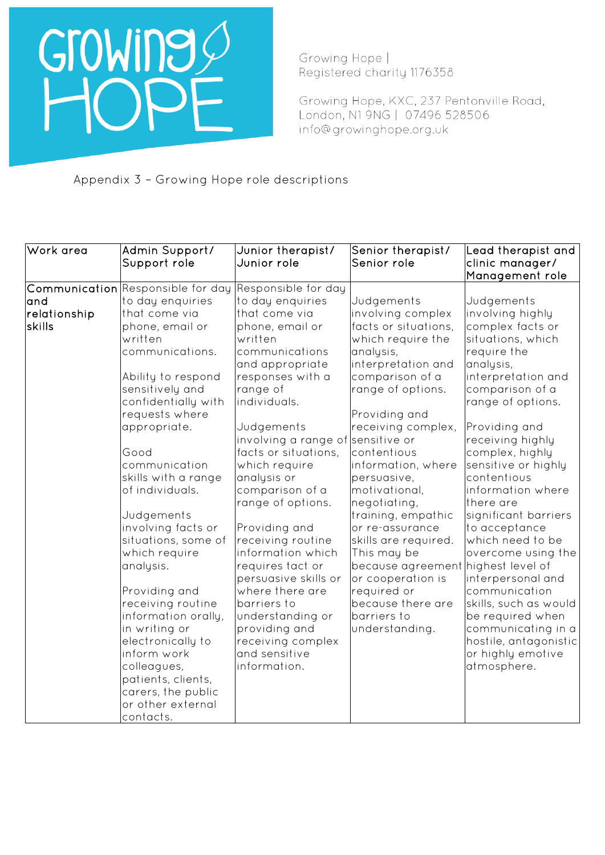

Growing Hope, KXC, 237 Pentonville Road, London, N1 9NG | 07496 528506 info@growinghope.org.uk

Appendix 3 – Growing Hope role descriptions

| Work area                     | Admin Support/<br>Support role                                                                                                                                                                                                                                                                                                                                                                                                                                                                                                                                                          | Junior therapist/<br>Junior role                                                                                                                                                                                                                                                                                                                                                                                                                                                                                                                                   | Senior therapist/<br>Senior role                                                                                                                                                                                                                                                                                                                                                                                                                                                                    | Lead therapist and<br>clinic manager/<br>Management role                                                                                                                                                                                                                                                                                                                                                                                                                                                                                                   |
|-------------------------------|-----------------------------------------------------------------------------------------------------------------------------------------------------------------------------------------------------------------------------------------------------------------------------------------------------------------------------------------------------------------------------------------------------------------------------------------------------------------------------------------------------------------------------------------------------------------------------------------|--------------------------------------------------------------------------------------------------------------------------------------------------------------------------------------------------------------------------------------------------------------------------------------------------------------------------------------------------------------------------------------------------------------------------------------------------------------------------------------------------------------------------------------------------------------------|-----------------------------------------------------------------------------------------------------------------------------------------------------------------------------------------------------------------------------------------------------------------------------------------------------------------------------------------------------------------------------------------------------------------------------------------------------------------------------------------------------|------------------------------------------------------------------------------------------------------------------------------------------------------------------------------------------------------------------------------------------------------------------------------------------------------------------------------------------------------------------------------------------------------------------------------------------------------------------------------------------------------------------------------------------------------------|
| and<br>relationship<br>skills | Communication Responsible for day<br>to day enquiries<br>that come via<br>phone, email or<br>written<br>communications.<br>Ability to respond<br>sensitively and<br>confidentially with<br>requests where<br>appropriate.<br>Good<br>communication<br>skills with a range<br>of individuals.<br>Judgements<br>involving facts or<br>situations, some of<br>which require<br>analysis.<br>Providing and<br>receiving routine<br>information orally,<br>in writing or<br>electronically to<br>inform work<br>colleagues,<br>patients, clients,<br>carers, the public<br>or other external | Responsible for day<br>to day enquiries<br>that come via<br>phone, email or<br>written<br>communications<br>and appropriate<br>responses with a<br>range of<br>individuals.<br>Judgements<br>involving a range of sensitive or<br>facts or situations,<br>which require<br>analysis or<br>comparison of a<br>range of options.<br>Providing and<br>receiving routine<br>information which<br>requires tact or<br>persuasive skills or<br>where there are<br>barriers to<br>understanding or<br>providing and<br>receiving complex<br>and sensitive<br>information. | Judgements<br>involving complex<br>facts or situations,<br>which require the<br>analysis,<br>interpretation and<br>comparison of a<br>range of options.<br>Providing and<br>receiving complex,<br>contentious<br>information, where<br>persuasive,<br>motivational.<br>negotiating,<br>training, empathic<br>or re-assurance<br>skills are required.<br>This may be<br>because agreement highest level of<br>or cooperation is<br>required or<br>because there are<br>barriers to<br>understanding. | Judgements<br>involving highly<br>complex facts or<br>situations, which<br>require the<br>analysis,<br>interpretation and<br>comparison of a<br>range of options.<br>Providing and<br>receiving highly<br>complex, highly<br>sensitive or highly<br>contentious<br>information where<br>there are<br>significant barriers<br>to acceptance<br>which need to be<br>overcome using the<br>interpersonal and<br>communication<br>skills, such as would<br>be required when<br>communicating in a<br>hostile, antagonistic<br>or highly emotive<br>atmosphere. |
|                               | contacts.                                                                                                                                                                                                                                                                                                                                                                                                                                                                                                                                                                               |                                                                                                                                                                                                                                                                                                                                                                                                                                                                                                                                                                    |                                                                                                                                                                                                                                                                                                                                                                                                                                                                                                     |                                                                                                                                                                                                                                                                                                                                                                                                                                                                                                                                                            |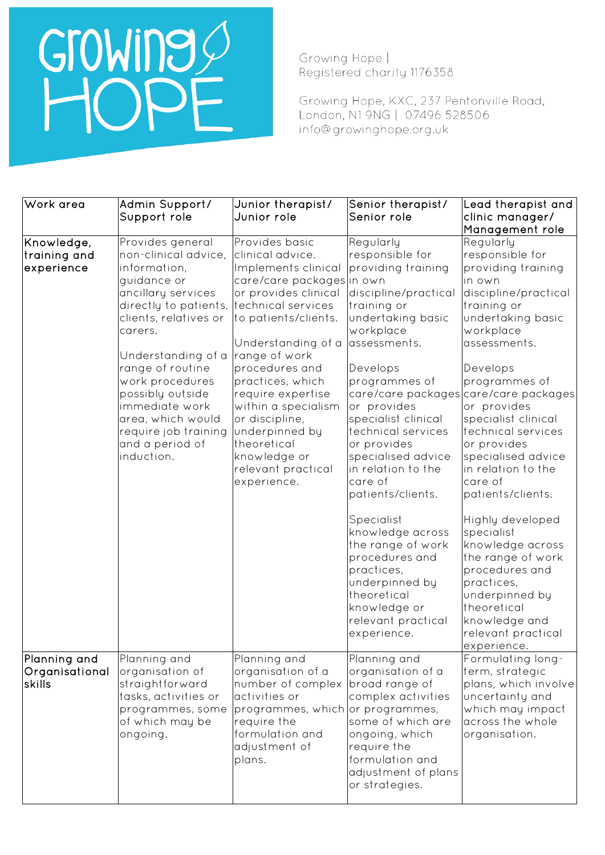## Growing O

Growing Hope | Registered charity 1176358

Growing Hope, KXC, 237 Pentonville Road, London, N1 9NG | 07496 528506 info@growinghope.org.uk

| Work area                                 | Admin Support/<br>Support role                                                                                                                                                                                                                                                                                                              | Junior therapist/<br>Junior role                                                                                                                                                                                                                                                                                                                                                              | Senior therapist/<br>Senior role                                                                                                                                                                                                                                                                                                              | Lead therapist and<br>clinic manager/                                                                                                                                                                                                                                                                                                                                                                  |
|-------------------------------------------|---------------------------------------------------------------------------------------------------------------------------------------------------------------------------------------------------------------------------------------------------------------------------------------------------------------------------------------------|-----------------------------------------------------------------------------------------------------------------------------------------------------------------------------------------------------------------------------------------------------------------------------------------------------------------------------------------------------------------------------------------------|-----------------------------------------------------------------------------------------------------------------------------------------------------------------------------------------------------------------------------------------------------------------------------------------------------------------------------------------------|--------------------------------------------------------------------------------------------------------------------------------------------------------------------------------------------------------------------------------------------------------------------------------------------------------------------------------------------------------------------------------------------------------|
|                                           |                                                                                                                                                                                                                                                                                                                                             |                                                                                                                                                                                                                                                                                                                                                                                               |                                                                                                                                                                                                                                                                                                                                               | Management role                                                                                                                                                                                                                                                                                                                                                                                        |
| Knowledge,<br>training and <br>experience | Provides general<br>non-clinical advice,<br>information,<br>guidance or<br>ancillary services<br>directly to patients,<br>clients, relatives or<br>carers.<br>Understanding of a<br>range of routine<br>work procedures<br>possibly outside<br>immediate work<br>area, which would<br>require job training<br>and a period of<br>induction. | Provides basic<br>clinical advice.<br>Implements clinical<br>care/care packages in own<br>or provides clinical<br>technical services<br>to patients/clients.<br>Understanding of a<br>range of work<br>procedures and<br>practices, which<br>require expertise<br>within a specialism<br>or discipline,<br>underpinned by<br>theoretical<br>knowledge or<br>relevant practical<br>experience. | Regularly<br>responsible for<br>providing training<br>discipline/practical<br>training or<br>undertaking basic<br>workplace<br>assessments.<br>Develops<br>programmes of<br>or provides<br>specialist clinical<br>technical services<br>or provides<br>specialised advice<br>in relation to the<br>care of<br>patients/clients.<br>Specialist | Regularly<br>responsible for<br>providing training<br>in own<br>discipline/practical<br>training or<br>undertaking basic<br>workplace<br>assessments.<br>Develops<br>programmes of<br>care/care packages care/care packages<br>or provides<br>specialist clinical<br>technical services<br>or provides<br>specialised advice<br>in relation to the<br>care of<br>patients/clients.<br>Highly developed |
| Planning and<br>Organisational<br>İskills | Planning and<br>organisation of<br>straightforward<br>tasks, activities or<br>programmes, some<br>of which may be<br>ongoing.                                                                                                                                                                                                               | Planning and<br>organisation of a<br>number of complex<br>activities or<br>programmes, which or programmes,<br>require the<br>formulation and<br>adjustment of<br>plans.                                                                                                                                                                                                                      | knowledge across<br>the range of work<br>procedures and<br>practices,<br>underpinned by<br>theoretical<br>knowledge or<br>relevant practical<br>experience.<br>Planning and<br>organisation of a<br>broad range of<br>complex activities<br>some of which are<br>ongoing, which<br>require the<br>formulation and                             | specialist<br>knowledge across<br>the range of work<br>procedures and<br>practices,<br>underpinned by<br>theoretical<br>knowledge and<br>relevant practical<br>experience.<br>Formulating long-<br>term, strategic<br>plans, which involve<br>uncertainty and<br>which may impact<br>across the whole<br>organisation.                                                                                 |
|                                           |                                                                                                                                                                                                                                                                                                                                             |                                                                                                                                                                                                                                                                                                                                                                                               | adjustment of plans<br>or strategies.                                                                                                                                                                                                                                                                                                         |                                                                                                                                                                                                                                                                                                                                                                                                        |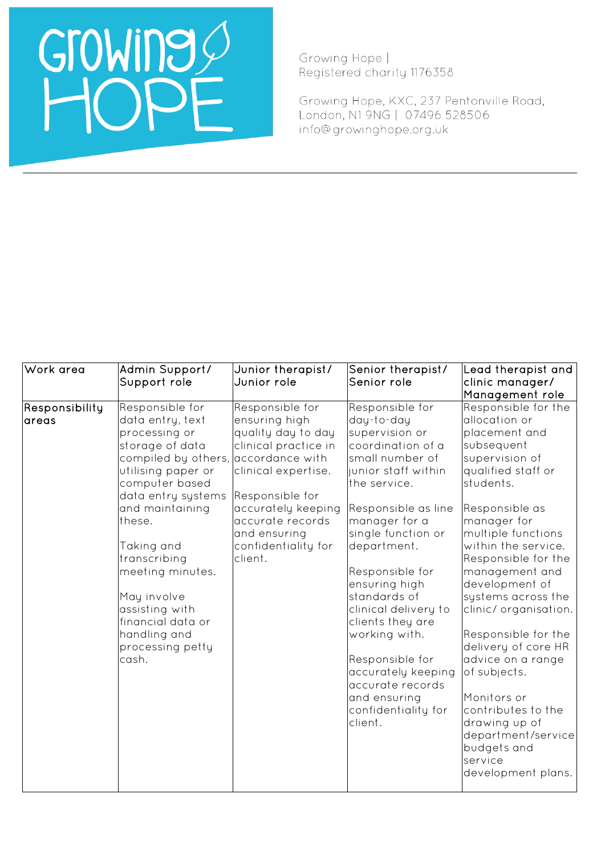Growing Hope | Registered charity 1176358

Growing Hope, KXC, 237 Pentonville Road, London, N1 9NG | 07496 528506 info@growinghope.org.uk

| Work area                | Admin Support/<br>Support role                                                                                                                                                                                                                                                                                                                 | Junior therapist/<br>Junior role                                                                                                                                                                                                        | Senior therapist/<br>Senior role                                                                                                                                                                                                                                                                                                                                                                                                            | Lead therapist and<br>clinic manager/<br>Management role                                                                                                                                                                                                                                                                                                                                                                                                                                                                       |
|--------------------------|------------------------------------------------------------------------------------------------------------------------------------------------------------------------------------------------------------------------------------------------------------------------------------------------------------------------------------------------|-----------------------------------------------------------------------------------------------------------------------------------------------------------------------------------------------------------------------------------------|---------------------------------------------------------------------------------------------------------------------------------------------------------------------------------------------------------------------------------------------------------------------------------------------------------------------------------------------------------------------------------------------------------------------------------------------|--------------------------------------------------------------------------------------------------------------------------------------------------------------------------------------------------------------------------------------------------------------------------------------------------------------------------------------------------------------------------------------------------------------------------------------------------------------------------------------------------------------------------------|
| Responsibility<br>lareas | Responsible for<br>data entry, text<br>processing or<br>storage of data<br>compiled by others,<br>utilising paper or<br>computer based<br>data entry systems<br>and maintaining<br>these.<br>Taking and<br>transcribing<br>meeting minutes.<br>May involve<br>assisting with<br>financial data or<br>handling and<br>processing petty<br>cash. | Responsible for<br>ensuring high<br>quality day to day<br>clinical practice in<br>accordance with<br>clinical expertise.<br>Responsible for<br>accurately keeping<br>accurate records<br>and ensuring<br>confidentiality for<br>client. | Responsible for<br>day-to-day<br>supervision or<br>coordination of a<br>small number of<br>junior staff within<br>the service.<br>Responsible as line<br>manager for a<br>single function or<br>department.<br>Responsible for<br>ensuring high<br>standards of<br>clinical delivery to<br>clients they are<br>working with.<br>Responsible for<br>accurately keeping<br>accurate records<br>and ensuring<br>confidentiality for<br>client. | Responsible for the<br>allocation or<br>placement and<br>subsequent<br>supervision of<br>qualified staff or<br>students.<br>Responsible as<br>manager for<br>multiple functions<br>within the service.<br>Responsible for the<br>management and<br>development of<br>systems across the<br>clinic/organisation.<br>Responsible for the<br>delivery of core HR<br>advice on a range<br>of subjects.<br>Monitors or<br>contributes to the<br>drawing up of<br>department/service<br>budgets and<br>service<br>development plans. |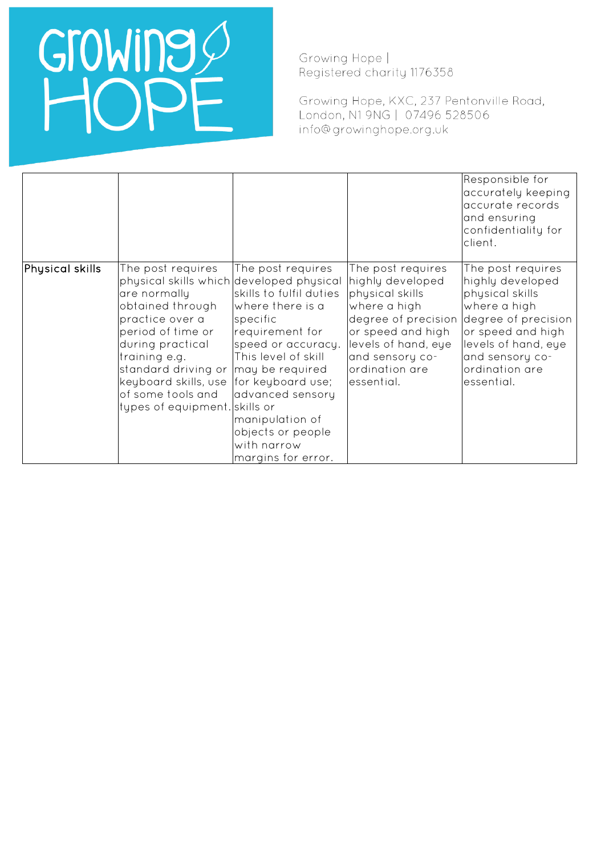# Growing O

Growing Hope | Registered charity 1176358

Growing Hope, KXC, 237 Pentonville Road, London, N1 9NG | 07496 528506 info@growinghope.org.uk

|                 |                                                                                                                                                                                                                                                                                     |                                                                                                                                                                                                                                                                                       |                                                                                                                                                                                                | Responsible for<br>accurately keeping<br>accurate records<br>and ensuring<br>confidentiality for<br>client.                                                                                    |
|-----------------|-------------------------------------------------------------------------------------------------------------------------------------------------------------------------------------------------------------------------------------------------------------------------------------|---------------------------------------------------------------------------------------------------------------------------------------------------------------------------------------------------------------------------------------------------------------------------------------|------------------------------------------------------------------------------------------------------------------------------------------------------------------------------------------------|------------------------------------------------------------------------------------------------------------------------------------------------------------------------------------------------|
| Physical skills | The post requires<br>physical skills which developed physical<br>are normally<br>obtained through<br>practice over a<br>period of time or<br>during practical<br>training e.g.<br>standard driving or<br>keyboard skills, use<br>of some tools and<br>types of equipment. skills or | The post requires<br>skills to fulfil duties<br>where there is a<br>specific<br>requirement for<br>speed or accuracy.<br>This level of skill<br>may be required<br>for keyboard use;<br>advanced sensory<br>manipulation of<br>objects or people<br>with narrow<br>margins for error. | The post requires<br>highly developed<br>physical skills<br>where a high<br>degree of precision<br>or speed and high<br>levels of hand, eye<br>and sensory co-<br>ordination are<br>essential. | The post requires<br>highly developed<br>physical skills<br>where a high<br>degree of precision<br>or speed and high<br>levels of hand, eye<br>and sensory co-<br>ordination are<br>essential. |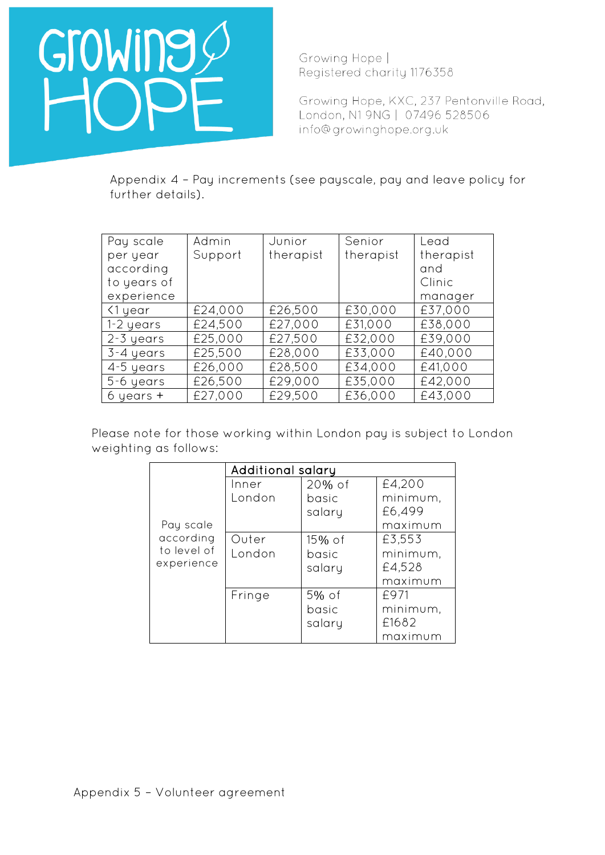

Growing Hope, KXC, 237 Pentonville Road, London, N1 9NG | 07496 528506 info@growinghope.org.uk

Appendix 4 – Pay increments (see payscale, pay and leave policy for further details).

| Pay scale     | Admin   | Junior    | Senior    | Lead      |
|---------------|---------|-----------|-----------|-----------|
| per year      | Support | therapist | therapist | therapist |
| according     |         |           |           | and       |
| to years of   |         |           |           | Clinic    |
| experience    |         |           |           | manager   |
| <1 year       | £24,000 | £26,500   | £30,000   | £37,000   |
| 1-2 years     | £24,500 | £27,000   | £31,000   | £38,000   |
| $2-3$ years   | £25,000 | £27,500   | £32,000   | £39,000   |
| 3-4 years     | £25,500 | £28,000   | £33,000   | £40,000   |
| 4-5 years     | £26,000 | £28,500   | £34,000   | £41,000   |
| 5-6 years     | £26,500 | £29,000   | £35,000   | £42,000   |
| $6$ years $+$ | £27,000 | £29,500   | £36,000   | £43,000   |

Please note for those working within London pay is subject to London weighting as follows:

|             | Additional salary |           |          |  |
|-------------|-------------------|-----------|----------|--|
|             | Inner             | $20\%$ of | £4,200   |  |
|             | London            | basic     | minimum, |  |
|             |                   | salary    | £6,499   |  |
| Pay scale   |                   |           | maximum  |  |
| according   | Outer             | $15\%$ of | £3,553   |  |
| to level of | London            | basic     | minimum, |  |
| experience  |                   | salary    | £4,528   |  |
|             |                   |           | maximum  |  |
|             | Fringe            | 5% of     | £971     |  |
|             |                   | basic     | minimum, |  |
|             |                   | salary    | £1682    |  |
|             |                   |           | maximum  |  |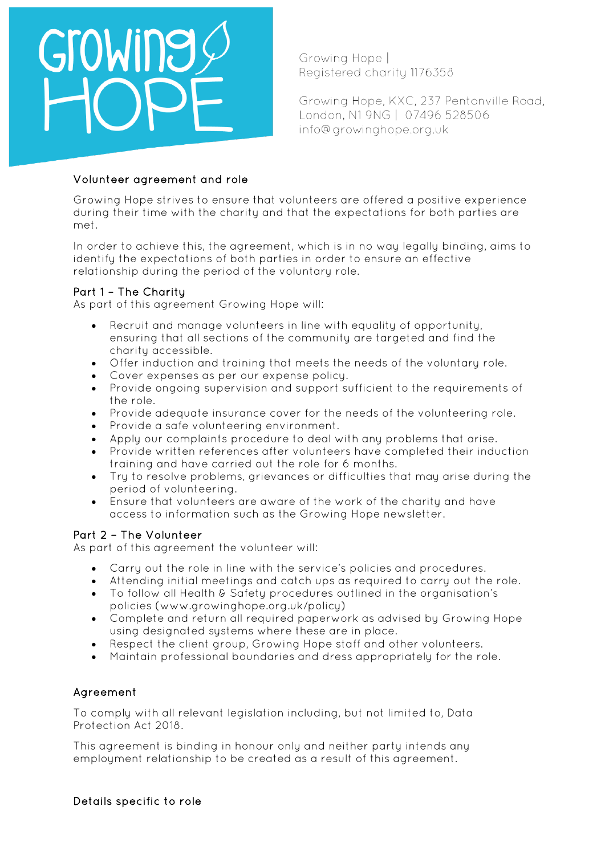

Growing Hope, KXC, 237 Pentonville Road, London, N1 9NG | 07496 528506 info@growinghope.org.uk

## Volunteer agreement and role

Growing Hope strives to ensure that volunteers are offered a positive experience during their time with the charity and that the expectations for both parties are met.

In order to achieve this, the agreement, which is in no way legally binding, aims to identify the expectations of both parties in order to ensure an effective relationship during the period of the voluntary role.

## Part 1 – The Charity

As part of this agreement Growing Hope will:

- Recruit and manage volunteers in line with equality of opportunity, ensuring that all sections of the community are targeted and find the charity accessible.
- Offer induction and training that meets the needs of the voluntary role.
- Cover expenses as per our expense policy.
- Provide ongoing supervision and support sufficient to the requirements of the role.
- Provide adequate insurance cover for the needs of the volunteering role.
- Provide a safe volunteering environment.
- Apply our complaints procedure to deal with any problems that arise.
- Provide written references after volunteers have completed their induction training and have carried out the role for 6 months.
- Try to resolve problems, grievances or difficulties that may arise during the period of volunteering.
- Ensure that volunteers are aware of the work of the charity and have access to information such as the Growing Hope newsletter.

## Part 2 – The Volunteer

As part of this agreement the volunteer will:

- Carry out the role in line with the service's policies and procedures.
- Attending initial meetings and catch ups as required to carry out the role.
- To follow all Health & Safety procedures outlined in the organisation's policies (www.growinghope.org.uk/policy)
- Complete and return all required paperwork as advised by Growing Hope using designated systems where these are in place.
- Respect the client group, Growing Hope staff and other volunteers.
- Maintain professional boundaries and dress appropriately for the role.

## Agreement

To comply with all relevant legislation including, but not limited to, Data Protection Act 2018.

This agreement is binding in honour only and neither party intends any employment relationship to be created as a result of this agreement.

## Details specific to role